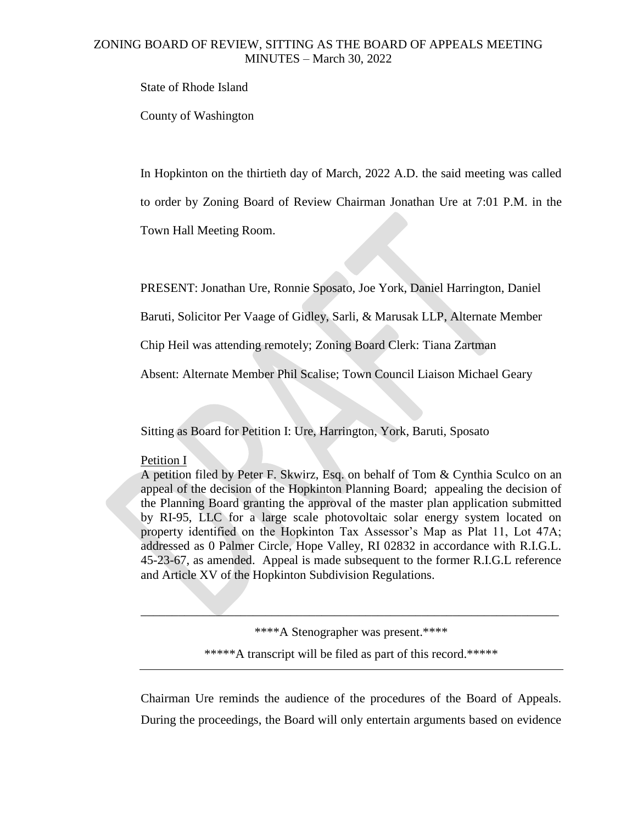State of Rhode Island

County of Washington

In Hopkinton on the thirtieth day of March, 2022 A.D. the said meeting was called

to order by Zoning Board of Review Chairman Jonathan Ure at 7:01 P.M. in the

Town Hall Meeting Room.

PRESENT: Jonathan Ure, Ronnie Sposato, Joe York, Daniel Harrington, Daniel

Baruti, Solicitor Per Vaage of Gidley, Sarli, & Marusak LLP, Alternate Member

Chip Heil was attending remotely; Zoning Board Clerk: Tiana Zartman

Absent: Alternate Member Phil Scalise; Town Council Liaison Michael Geary

Sitting as Board for Petition I: Ure, Harrington, York, Baruti, Sposato

#### Petition I

A petition filed by Peter F. Skwirz, Esq. on behalf of Tom & Cynthia Sculco on an appeal of the decision of the Hopkinton Planning Board; appealing the decision of the Planning Board granting the approval of the master plan application submitted by RI-95, LLC for a large scale photovoltaic solar energy system located on property identified on the Hopkinton Tax Assessor's Map as Plat 11, Lot 47A; addressed as 0 Palmer Circle, Hope Valley, RI 02832 in accordance with R.I.G.L. 45-23-67, as amended. Appeal is made subsequent to the former R.I.G.L reference and Article XV of the Hopkinton Subdivision Regulations.

> \*\*\*\*A Stenographer was present.\*\*\*\* \*\*\*\*\*A transcript will be filed as part of this record.\*\*\*\*\*

 $\blacksquare$ 

Chairman Ure reminds the audience of the procedures of the Board of Appeals. During the proceedings, the Board will only entertain arguments based on evidence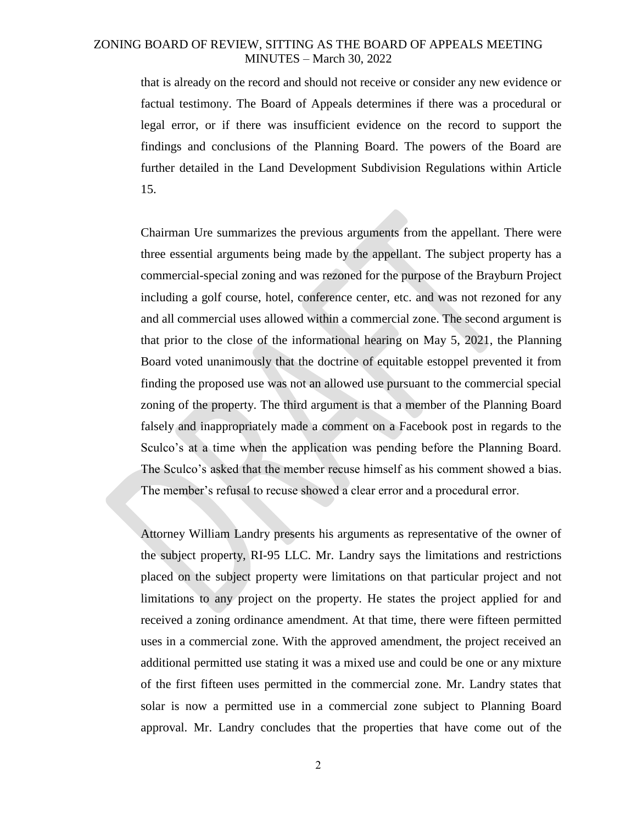that is already on the record and should not receive or consider any new evidence or factual testimony. The Board of Appeals determines if there was a procedural or legal error, or if there was insufficient evidence on the record to support the findings and conclusions of the Planning Board. The powers of the Board are further detailed in the Land Development Subdivision Regulations within Article 15.

Chairman Ure summarizes the previous arguments from the appellant. There were three essential arguments being made by the appellant. The subject property has a commercial-special zoning and was rezoned for the purpose of the Brayburn Project including a golf course, hotel, conference center, etc. and was not rezoned for any and all commercial uses allowed within a commercial zone. The second argument is that prior to the close of the informational hearing on May 5, 2021, the Planning Board voted unanimously that the doctrine of equitable estoppel prevented it from finding the proposed use was not an allowed use pursuant to the commercial special zoning of the property. The third argument is that a member of the Planning Board falsely and inappropriately made a comment on a Facebook post in regards to the Sculco's at a time when the application was pending before the Planning Board. The Sculco's asked that the member recuse himself as his comment showed a bias. The member's refusal to recuse showed a clear error and a procedural error.

Attorney William Landry presents his arguments as representative of the owner of the subject property, RI-95 LLC. Mr. Landry says the limitations and restrictions placed on the subject property were limitations on that particular project and not limitations to any project on the property. He states the project applied for and received a zoning ordinance amendment. At that time, there were fifteen permitted uses in a commercial zone. With the approved amendment, the project received an additional permitted use stating it was a mixed use and could be one or any mixture of the first fifteen uses permitted in the commercial zone. Mr. Landry states that solar is now a permitted use in a commercial zone subject to Planning Board approval. Mr. Landry concludes that the properties that have come out of the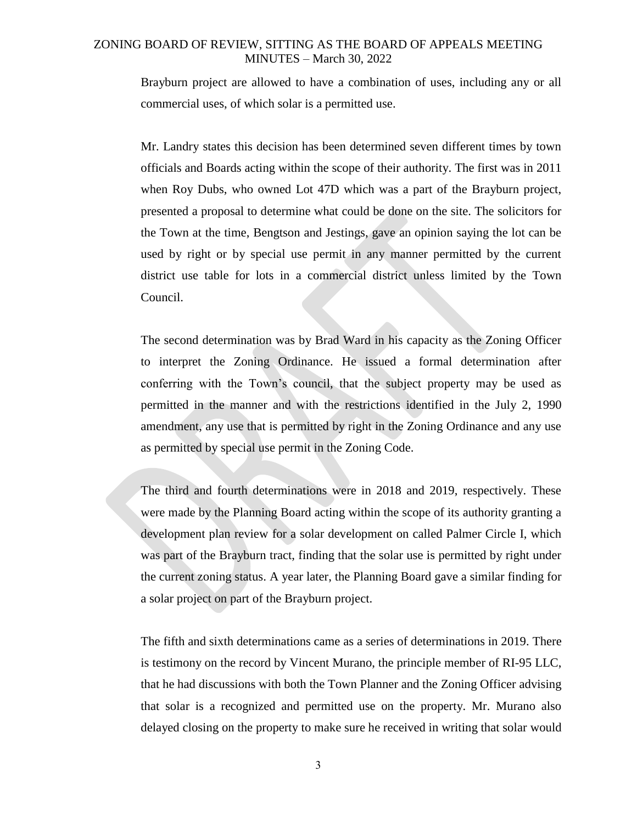Brayburn project are allowed to have a combination of uses, including any or all commercial uses, of which solar is a permitted use.

Mr. Landry states this decision has been determined seven different times by town officials and Boards acting within the scope of their authority. The first was in 2011 when Roy Dubs, who owned Lot 47D which was a part of the Brayburn project, presented a proposal to determine what could be done on the site. The solicitors for the Town at the time, Bengtson and Jestings, gave an opinion saying the lot can be used by right or by special use permit in any manner permitted by the current district use table for lots in a commercial district unless limited by the Town Council.

The second determination was by Brad Ward in his capacity as the Zoning Officer to interpret the Zoning Ordinance. He issued a formal determination after conferring with the Town's council, that the subject property may be used as permitted in the manner and with the restrictions identified in the July 2, 1990 amendment, any use that is permitted by right in the Zoning Ordinance and any use as permitted by special use permit in the Zoning Code.

The third and fourth determinations were in 2018 and 2019, respectively. These were made by the Planning Board acting within the scope of its authority granting a development plan review for a solar development on called Palmer Circle I, which was part of the Brayburn tract, finding that the solar use is permitted by right under the current zoning status. A year later, the Planning Board gave a similar finding for a solar project on part of the Brayburn project.

The fifth and sixth determinations came as a series of determinations in 2019. There is testimony on the record by Vincent Murano, the principle member of RI-95 LLC, that he had discussions with both the Town Planner and the Zoning Officer advising that solar is a recognized and permitted use on the property. Mr. Murano also delayed closing on the property to make sure he received in writing that solar would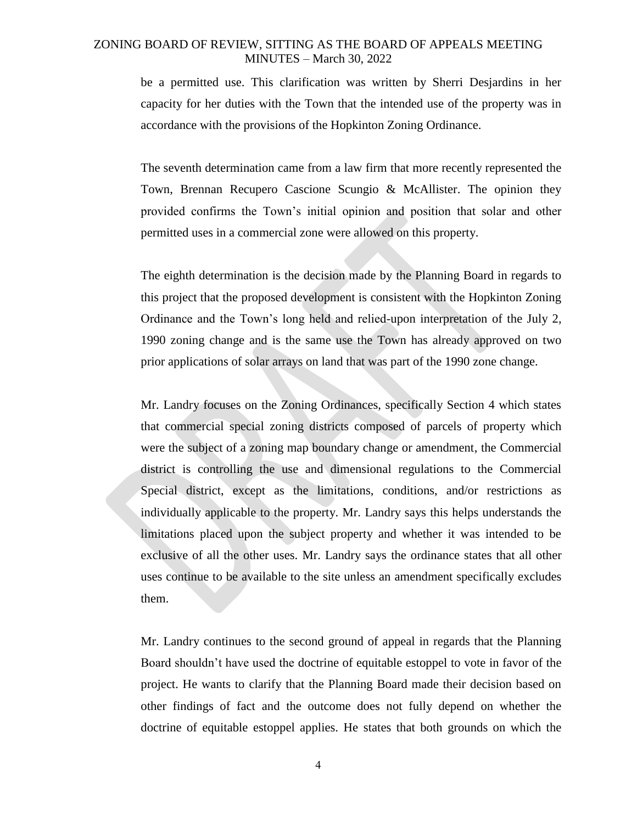be a permitted use. This clarification was written by Sherri Desjardins in her capacity for her duties with the Town that the intended use of the property was in accordance with the provisions of the Hopkinton Zoning Ordinance.

The seventh determination came from a law firm that more recently represented the Town, Brennan Recupero Cascione Scungio & McAllister. The opinion they provided confirms the Town's initial opinion and position that solar and other permitted uses in a commercial zone were allowed on this property.

The eighth determination is the decision made by the Planning Board in regards to this project that the proposed development is consistent with the Hopkinton Zoning Ordinance and the Town's long held and relied-upon interpretation of the July 2, 1990 zoning change and is the same use the Town has already approved on two prior applications of solar arrays on land that was part of the 1990 zone change.

Mr. Landry focuses on the Zoning Ordinances, specifically Section 4 which states that commercial special zoning districts composed of parcels of property which were the subject of a zoning map boundary change or amendment, the Commercial district is controlling the use and dimensional regulations to the Commercial Special district, except as the limitations, conditions, and/or restrictions as individually applicable to the property. Mr. Landry says this helps understands the limitations placed upon the subject property and whether it was intended to be exclusive of all the other uses. Mr. Landry says the ordinance states that all other uses continue to be available to the site unless an amendment specifically excludes them.

Mr. Landry continues to the second ground of appeal in regards that the Planning Board shouldn't have used the doctrine of equitable estoppel to vote in favor of the project. He wants to clarify that the Planning Board made their decision based on other findings of fact and the outcome does not fully depend on whether the doctrine of equitable estoppel applies. He states that both grounds on which the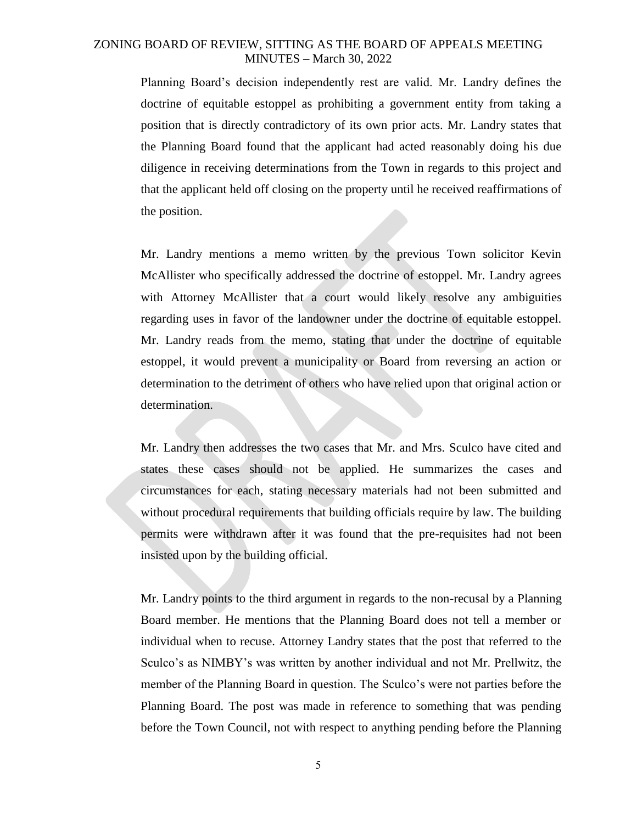Planning Board's decision independently rest are valid. Mr. Landry defines the doctrine of equitable estoppel as prohibiting a government entity from taking a position that is directly contradictory of its own prior acts. Mr. Landry states that the Planning Board found that the applicant had acted reasonably doing his due diligence in receiving determinations from the Town in regards to this project and that the applicant held off closing on the property until he received reaffirmations of the position.

Mr. Landry mentions a memo written by the previous Town solicitor Kevin McAllister who specifically addressed the doctrine of estoppel. Mr. Landry agrees with Attorney McAllister that a court would likely resolve any ambiguities regarding uses in favor of the landowner under the doctrine of equitable estoppel. Mr. Landry reads from the memo, stating that under the doctrine of equitable estoppel, it would prevent a municipality or Board from reversing an action or determination to the detriment of others who have relied upon that original action or determination.

Mr. Landry then addresses the two cases that Mr. and Mrs. Sculco have cited and states these cases should not be applied. He summarizes the cases and circumstances for each, stating necessary materials had not been submitted and without procedural requirements that building officials require by law. The building permits were withdrawn after it was found that the pre-requisites had not been insisted upon by the building official.

Mr. Landry points to the third argument in regards to the non-recusal by a Planning Board member. He mentions that the Planning Board does not tell a member or individual when to recuse. Attorney Landry states that the post that referred to the Sculco's as NIMBY's was written by another individual and not Mr. Prellwitz, the member of the Planning Board in question. The Sculco's were not parties before the Planning Board. The post was made in reference to something that was pending before the Town Council, not with respect to anything pending before the Planning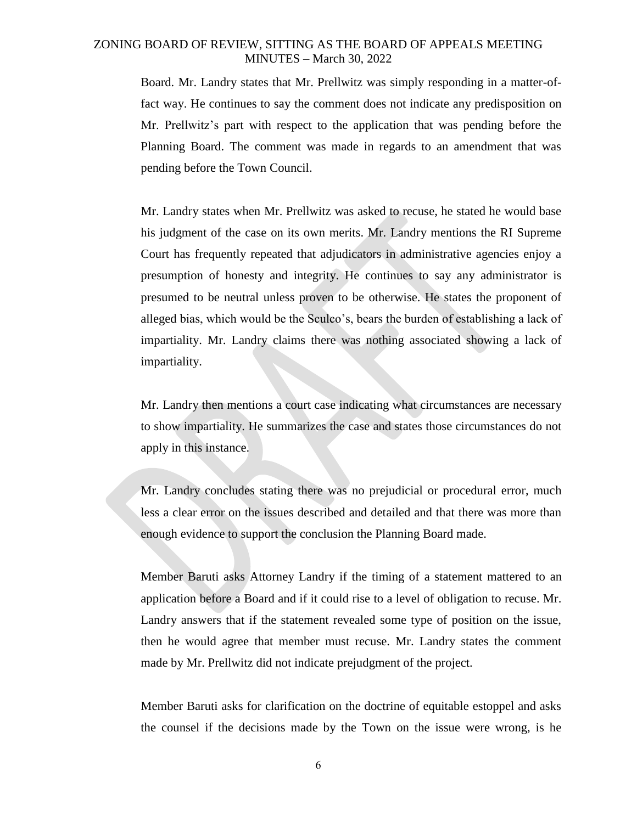Board. Mr. Landry states that Mr. Prellwitz was simply responding in a matter-offact way. He continues to say the comment does not indicate any predisposition on Mr. Prellwitz's part with respect to the application that was pending before the Planning Board. The comment was made in regards to an amendment that was pending before the Town Council.

Mr. Landry states when Mr. Prellwitz was asked to recuse, he stated he would base his judgment of the case on its own merits. Mr. Landry mentions the RI Supreme Court has frequently repeated that adjudicators in administrative agencies enjoy a presumption of honesty and integrity. He continues to say any administrator is presumed to be neutral unless proven to be otherwise. He states the proponent of alleged bias, which would be the Sculco's, bears the burden of establishing a lack of impartiality. Mr. Landry claims there was nothing associated showing a lack of impartiality.

Mr. Landry then mentions a court case indicating what circumstances are necessary to show impartiality. He summarizes the case and states those circumstances do not apply in this instance.

Mr. Landry concludes stating there was no prejudicial or procedural error, much less a clear error on the issues described and detailed and that there was more than enough evidence to support the conclusion the Planning Board made.

Member Baruti asks Attorney Landry if the timing of a statement mattered to an application before a Board and if it could rise to a level of obligation to recuse. Mr. Landry answers that if the statement revealed some type of position on the issue, then he would agree that member must recuse. Mr. Landry states the comment made by Mr. Prellwitz did not indicate prejudgment of the project.

Member Baruti asks for clarification on the doctrine of equitable estoppel and asks the counsel if the decisions made by the Town on the issue were wrong, is he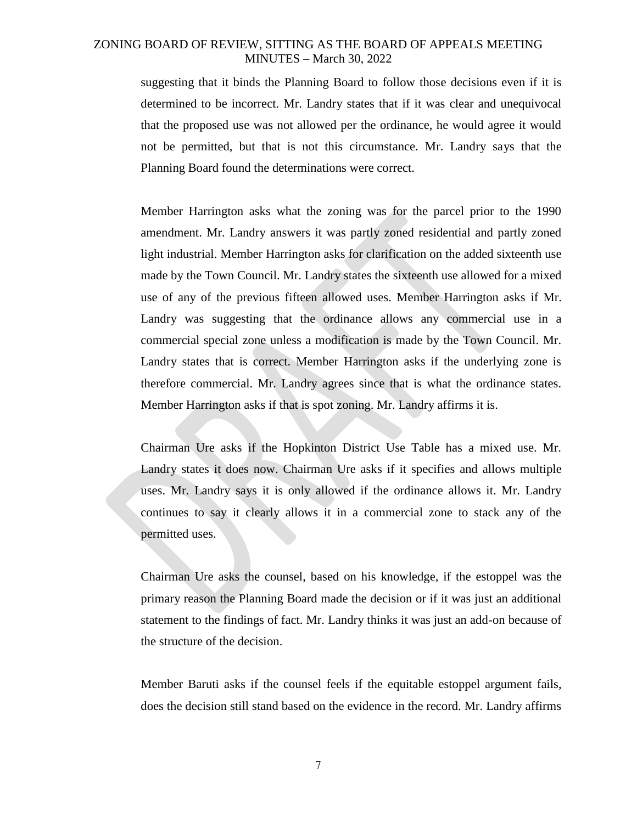suggesting that it binds the Planning Board to follow those decisions even if it is determined to be incorrect. Mr. Landry states that if it was clear and unequivocal that the proposed use was not allowed per the ordinance, he would agree it would not be permitted, but that is not this circumstance. Mr. Landry says that the Planning Board found the determinations were correct.

Member Harrington asks what the zoning was for the parcel prior to the 1990 amendment. Mr. Landry answers it was partly zoned residential and partly zoned light industrial. Member Harrington asks for clarification on the added sixteenth use made by the Town Council. Mr. Landry states the sixteenth use allowed for a mixed use of any of the previous fifteen allowed uses. Member Harrington asks if Mr. Landry was suggesting that the ordinance allows any commercial use in a commercial special zone unless a modification is made by the Town Council. Mr. Landry states that is correct. Member Harrington asks if the underlying zone is therefore commercial. Mr. Landry agrees since that is what the ordinance states. Member Harrington asks if that is spot zoning. Mr. Landry affirms it is.

Chairman Ure asks if the Hopkinton District Use Table has a mixed use. Mr. Landry states it does now. Chairman Ure asks if it specifies and allows multiple uses. Mr. Landry says it is only allowed if the ordinance allows it. Mr. Landry continues to say it clearly allows it in a commercial zone to stack any of the permitted uses.

Chairman Ure asks the counsel, based on his knowledge, if the estoppel was the primary reason the Planning Board made the decision or if it was just an additional statement to the findings of fact. Mr. Landry thinks it was just an add-on because of the structure of the decision.

Member Baruti asks if the counsel feels if the equitable estoppel argument fails, does the decision still stand based on the evidence in the record. Mr. Landry affirms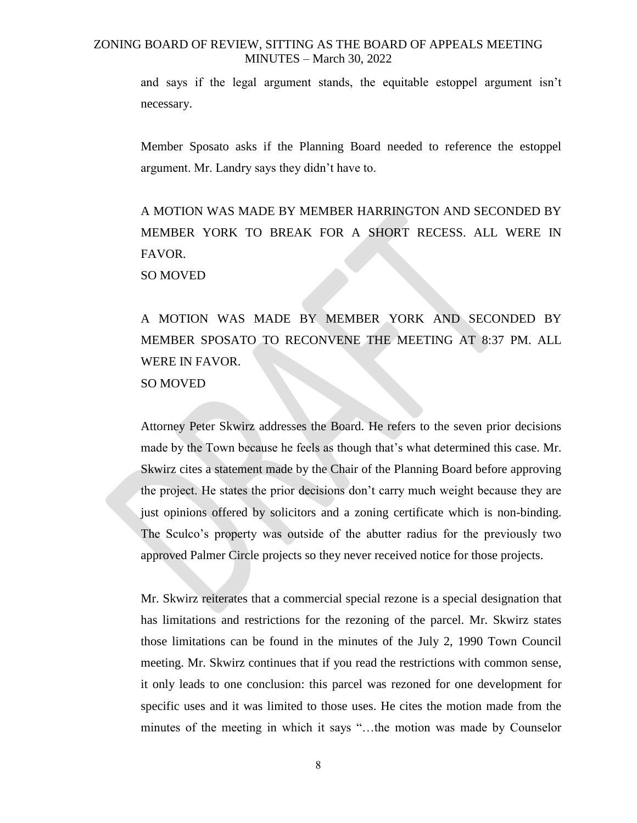and says if the legal argument stands, the equitable estoppel argument isn't necessary.

Member Sposato asks if the Planning Board needed to reference the estoppel argument. Mr. Landry says they didn't have to.

A MOTION WAS MADE BY MEMBER HARRINGTON AND SECONDED BY MEMBER YORK TO BREAK FOR A SHORT RECESS. ALL WERE IN FAVOR.

SO MOVED

A MOTION WAS MADE BY MEMBER YORK AND SECONDED BY MEMBER SPOSATO TO RECONVENE THE MEETING AT 8:37 PM. ALL WERE IN FAVOR. SO MOVED

Attorney Peter Skwirz addresses the Board. He refers to the seven prior decisions made by the Town because he feels as though that's what determined this case. Mr. Skwirz cites a statement made by the Chair of the Planning Board before approving the project. He states the prior decisions don't carry much weight because they are just opinions offered by solicitors and a zoning certificate which is non-binding. The Sculco's property was outside of the abutter radius for the previously two approved Palmer Circle projects so they never received notice for those projects.

Mr. Skwirz reiterates that a commercial special rezone is a special designation that has limitations and restrictions for the rezoning of the parcel. Mr. Skwirz states those limitations can be found in the minutes of the July 2, 1990 Town Council meeting. Mr. Skwirz continues that if you read the restrictions with common sense, it only leads to one conclusion: this parcel was rezoned for one development for specific uses and it was limited to those uses. He cites the motion made from the minutes of the meeting in which it says "…the motion was made by Counselor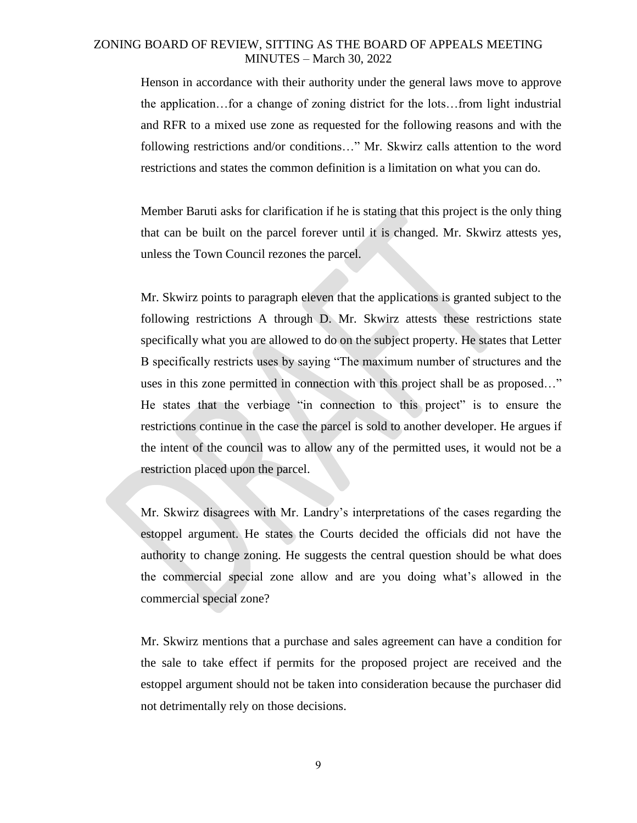Henson in accordance with their authority under the general laws move to approve the application…for a change of zoning district for the lots…from light industrial and RFR to a mixed use zone as requested for the following reasons and with the following restrictions and/or conditions…" Mr. Skwirz calls attention to the word restrictions and states the common definition is a limitation on what you can do.

Member Baruti asks for clarification if he is stating that this project is the only thing that can be built on the parcel forever until it is changed. Mr. Skwirz attests yes, unless the Town Council rezones the parcel.

Mr. Skwirz points to paragraph eleven that the applications is granted subject to the following restrictions A through D. Mr. Skwirz attests these restrictions state specifically what you are allowed to do on the subject property. He states that Letter B specifically restricts uses by saying "The maximum number of structures and the uses in this zone permitted in connection with this project shall be as proposed…" He states that the verbiage "in connection to this project" is to ensure the restrictions continue in the case the parcel is sold to another developer. He argues if the intent of the council was to allow any of the permitted uses, it would not be a restriction placed upon the parcel.

Mr. Skwirz disagrees with Mr. Landry's interpretations of the cases regarding the estoppel argument. He states the Courts decided the officials did not have the authority to change zoning. He suggests the central question should be what does the commercial special zone allow and are you doing what's allowed in the commercial special zone?

Mr. Skwirz mentions that a purchase and sales agreement can have a condition for the sale to take effect if permits for the proposed project are received and the estoppel argument should not be taken into consideration because the purchaser did not detrimentally rely on those decisions.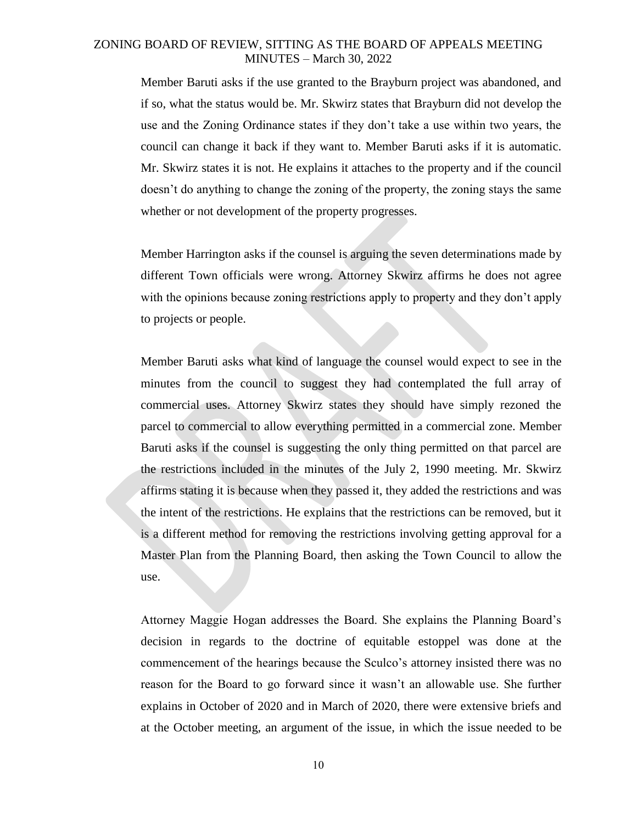Member Baruti asks if the use granted to the Brayburn project was abandoned, and if so, what the status would be. Mr. Skwirz states that Brayburn did not develop the use and the Zoning Ordinance states if they don't take a use within two years, the council can change it back if they want to. Member Baruti asks if it is automatic. Mr. Skwirz states it is not. He explains it attaches to the property and if the council doesn't do anything to change the zoning of the property, the zoning stays the same whether or not development of the property progresses.

Member Harrington asks if the counsel is arguing the seven determinations made by different Town officials were wrong. Attorney Skwirz affirms he does not agree with the opinions because zoning restrictions apply to property and they don't apply to projects or people.

Member Baruti asks what kind of language the counsel would expect to see in the minutes from the council to suggest they had contemplated the full array of commercial uses. Attorney Skwirz states they should have simply rezoned the parcel to commercial to allow everything permitted in a commercial zone. Member Baruti asks if the counsel is suggesting the only thing permitted on that parcel are the restrictions included in the minutes of the July 2, 1990 meeting. Mr. Skwirz affirms stating it is because when they passed it, they added the restrictions and was the intent of the restrictions. He explains that the restrictions can be removed, but it is a different method for removing the restrictions involving getting approval for a Master Plan from the Planning Board, then asking the Town Council to allow the use.

Attorney Maggie Hogan addresses the Board. She explains the Planning Board's decision in regards to the doctrine of equitable estoppel was done at the commencement of the hearings because the Sculco's attorney insisted there was no reason for the Board to go forward since it wasn't an allowable use. She further explains in October of 2020 and in March of 2020, there were extensive briefs and at the October meeting, an argument of the issue, in which the issue needed to be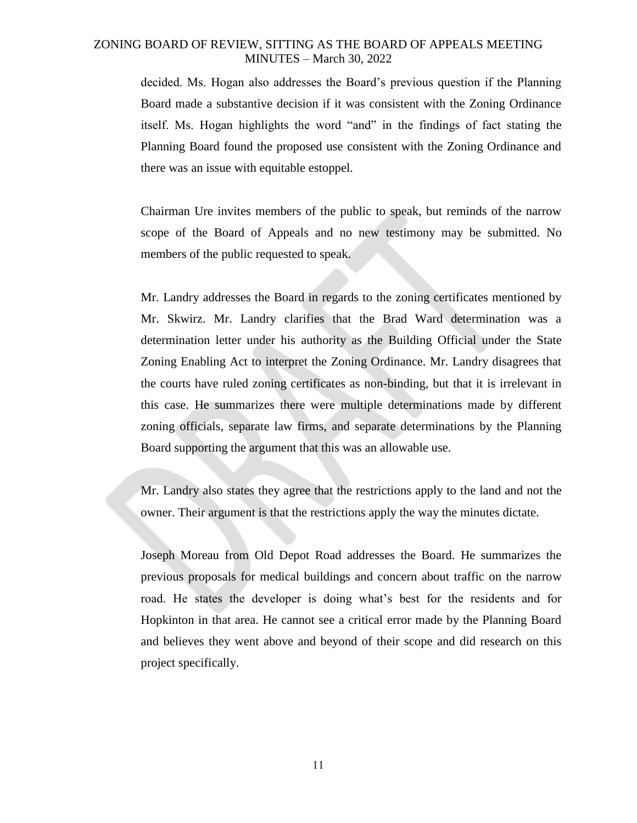decided. Ms. Hogan also addresses the Board's previous question if the Planning Board made a substantive decision if it was consistent with the Zoning Ordinance itself. Ms. Hogan highlights the word "and" in the findings of fact stating the Planning Board found the proposed use consistent with the Zoning Ordinance and there was an issue with equitable estoppel.

Chairman Ure invites members of the public to speak, but reminds of the narrow scope of the Board of Appeals and no new testimony may be submitted. No members of the public requested to speak.

Mr. Landry addresses the Board in regards to the zoning certificates mentioned by Mr. Skwirz. Mr. Landry clarifies that the Brad Ward determination was a determination letter under his authority as the Building Official under the State Zoning Enabling Act to interpret the Zoning Ordinance. Mr. Landry disagrees that the courts have ruled zoning certificates as non-binding, but that it is irrelevant in this case. He summarizes there were multiple determinations made by different zoning officials, separate law firms, and separate determinations by the Planning Board supporting the argument that this was an allowable use.

Mr. Landry also states they agree that the restrictions apply to the land and not the owner. Their argument is that the restrictions apply the way the minutes dictate.

Joseph Moreau from Old Depot Road addresses the Board. He summarizes the previous proposals for medical buildings and concern about traffic on the narrow road. He states the developer is doing what's best for the residents and for Hopkinton in that area. He cannot see a critical error made by the Planning Board and believes they went above and beyond of their scope and did research on this project specifically.